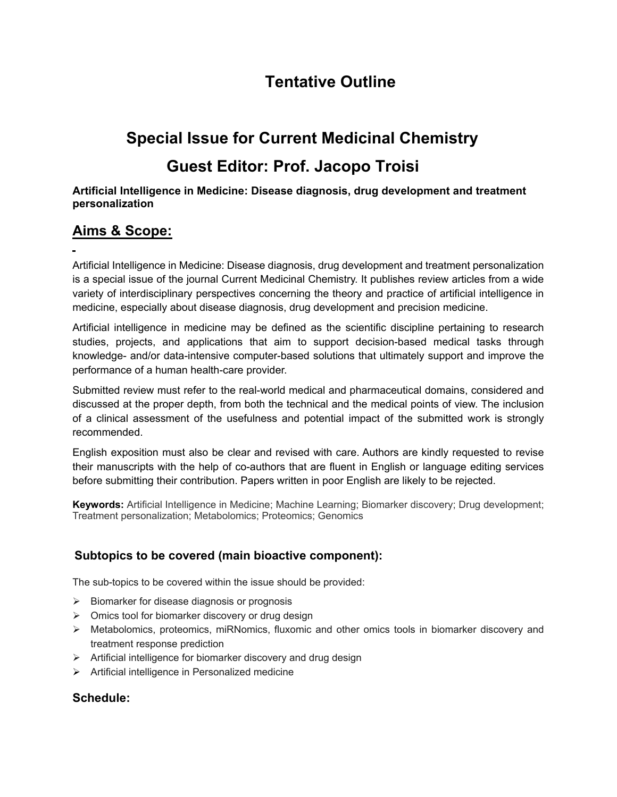## **Tentative Outline**

# **Special Issue for Current Medicinal Chemistry Guest Editor: Prof. Jacopo Troisi**

#### **Artificial Intelligence in Medicine: Disease diagnosis, drug development and treatment personalization**

## **Aims & Scope:**

Artificial Intelligence in Medicine: Disease diagnosis, drug development and treatment personalization is a special issue of the journal Current Medicinal Chemistry. It publishes review articles from a wide variety of interdisciplinary perspectives concerning the theory and practice of artificial intelligence in medicine, especially about disease diagnosis, drug development and precision medicine.

Artificial intelligence in medicine may be defined as the scientific discipline pertaining to research studies, projects, and applications that aim to support decision-based medical tasks through knowledge- and/or data-intensive computer-based solutions that ultimately support and improve the performance of a human health-care provider.

Submitted review must refer to the real-world medical and pharmaceutical domains, considered and discussed at the proper depth, from both the technical and the medical points of view. The inclusion of a clinical assessment of the usefulness and potential impact of the submitted work is strongly recommended.

English exposition must also be clear and revised with care. Authors are kindly requested to revise their manuscripts with the help of co-authors that are fluent in English or language editing services before submitting their contribution. Papers written in poor English are likely to be rejected.

**Keywords:** Artificial Intelligence in Medicine; Machine Learning; Biomarker discovery; Drug development; Treatment personalization; Metabolomics; Proteomics; Genomics

## **Subtopics to be covered (main bioactive component):**

The sub-topics to be covered within the issue should be provided:

- $\triangleright$  Biomarker for disease diagnosis or prognosis
- $\triangleright$  Omics tool for biomarker discovery or drug design
- $\triangleright$  Metabolomics, proteomics, miRNomics, fluxomic and other omics tools in biomarker discovery and treatment response prediction
- $\triangleright$  Artificial intelligence for biomarker discovery and drug design
- $\triangleright$  Artificial intelligence in Personalized medicine

### **Schedule:**